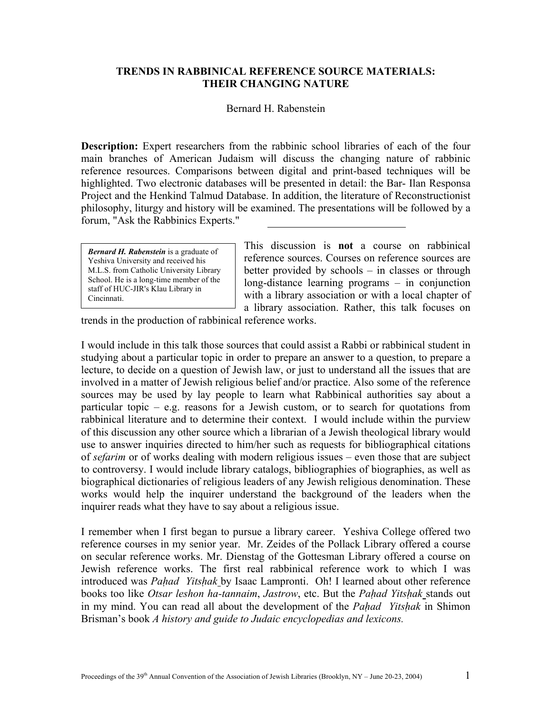## **TRENDS IN RABBINICAL REFERENCE SOURCE MATERIALS: THEIR CHANGING NATURE**

## Bernard H. Rabenstein

**Description:** Expert researchers from the rabbinic school libraries of each of the four main branches of American Judaism will discuss the changing nature of rabbinic reference resources. Comparisons between digital and print-based techniques will be highlighted. Two electronic databases will be presented in detail: the Bar- Ilan Responsa Project and the Henkind Talmud Database. In addition, the literature of Reconstructionist philosophy, liturgy and history will be examined. The presentations will be followed by a forum, "Ask the Rabbinics Experts."

*Bernard H. Rabenstein* is a graduate of Yeshiva University and received his M.L.S. from Catholic University Library School. He is a long-time member of the staff of HUC-JIR's Klau Library in Cincinnati.

This discussion is **not** a course on rabbinical reference sources. Courses on reference sources are better provided by schools – in classes or through long-distance learning programs – in conjunction with a library association or with a local chapter of a library association. Rather, this talk focuses on

trends in the production of rabbinical reference works.

I would include in this talk those sources that could assist a Rabbi or rabbinical student in studying about a particular topic in order to prepare an answer to a question, to prepare a lecture, to decide on a question of Jewish law, or just to understand all the issues that are involved in a matter of Jewish religious belief and/or practice. Also some of the reference sources may be used by lay people to learn what Rabbinical authorities say about a particular topic – e.g. reasons for a Jewish custom, or to search for quotations from rabbinical literature and to determine their context. I would include within the purview of this discussion any other source which a librarian of a Jewish theological library would use to answer inquiries directed to him/her such as requests for bibliographical citations of *sefarim* or of works dealing with modern religious issues – even those that are subject to controversy. I would include library catalogs, bibliographies of biographies, as well as biographical dictionaries of religious leaders of any Jewish religious denomination. These works would help the inquirer understand the background of the leaders when the inquirer reads what they have to say about a religious issue.

I remember when I first began to pursue a library career. Yeshiva College offered two reference courses in my senior year. Mr. Zeides of the Pollack Library offered a course on secular reference works. Mr. Dienstag of the Gottesman Library offered a course on Jewish reference works. The first real rabbinical reference work to which I was introduced was *Paḥad Yitsḥak* by Isaac Lampronti. Oh! I learned about other reference books too like *Otsar leshon ha-tannaim*, *Jastrow*, etc. But the *Paḥad Yitsḥak* stands out in my mind. You can read all about the development of the *Paḥad Yitsḥak* in Shimon Brisman's book *A history and guide to Judaic encyclopedias and lexicons.*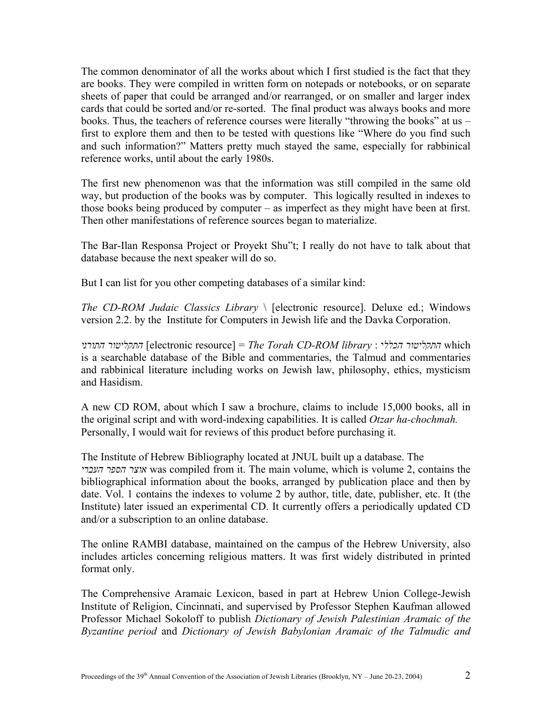The common denominator of all the works about which I first studied is the fact that they are books. They were compiled in written form on notepads or notebooks, or on separate sheets of paper that could be arranged and/or rearranged, or on smaller and larger index cards that could be sorted and/or re-sorted. The final product was always books and more books. Thus, the teachers of reference courses were literally "throwing the books" at us – first to explore them and then to be tested with questions like "Where do you find such and such information?" Matters pretty much stayed the same, especially for rabbinical reference works, until about the early 1980s.

The first new phenomenon was that the information was still compiled in the same old way, but production of the books was by computer. This logically resulted in indexes to those books being produced by computer – as imperfect as they might have been at first. Then other manifestations of reference sources began to materialize.

The Bar-Ilan Responsa Project or Proyekt Shu"t; I really do not have to talk about that database because the next speaker will do so.

But I can list for you other competing databases of a similar kind:

*The CD-ROM Judaic Classics Library* \ [electronic resource]. Deluxe ed.; Windows version 2.2. by the Institute for Computers in Jewish life and the Davka Corporation.

*התורני התקליטור*] electronic resource] = *The Torah CD-ROM library* : *הכלל*י *התקליטור* which is a searchable database of the Bible and commentaries, the Talmud and commentaries and rabbinical literature including works on Jewish law, philosophy, ethics, mysticism and Hasidism.

A new CD ROM, about which I saw a brochure, claims to include 15,000 books, all in the original script and with word-indexing capabilities. It is called *Otzar ha-chochmah.*  Personally, I would wait for reviews of this product before purchasing it.

The Institute of Hebrew Bibliography located at JNUL built up a database. The *העברי הספר אוצר* was compiled from it. The main volume, which is volume 2, contains the bibliographical information about the books, arranged by publication place and then by date. Vol. 1 contains the indexes to volume 2 by author, title, date, publisher, etc. It (the Institute) later issued an experimental CD. It currently offers a periodically updated CD and/or a subscription to an online database.

The online RAMBI database, maintained on the campus of the Hebrew University, also includes articles concerning religious matters. It was first widely distributed in printed format only.

The Comprehensive Aramaic Lexicon, based in part at Hebrew Union College-Jewish Institute of Religion, Cincinnati, and supervised by Professor Stephen Kaufman allowed Professor Michael Sokoloff to publish *Dictionary of Jewish Palestinian Aramaic of the Byzantine period* and *Dictionary of Jewish Babylonian Aramaic of the Talmudic and*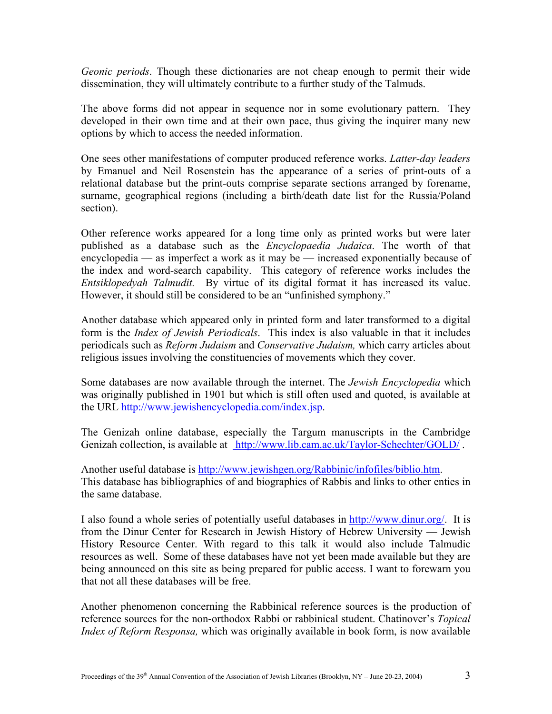*Geonic periods*. Though these dictionaries are not cheap enough to permit their wide dissemination, they will ultimately contribute to a further study of the Talmuds.

The above forms did not appear in sequence nor in some evolutionary pattern. They developed in their own time and at their own pace, thus giving the inquirer many new options by which to access the needed information.

One sees other manifestations of computer produced reference works. *Latter-day leaders* by Emanuel and Neil Rosenstein has the appearance of a series of print-outs of a relational database but the print-outs comprise separate sections arranged by forename, surname, geographical regions (including a birth/death date list for the Russia/Poland section).

Other reference works appeared for a long time only as printed works but were later published as a database such as the *Encyclopaedia Judaica*. The worth of that encyclopedia — as imperfect a work as it may be — increased exponentially because of the index and word-search capability. This category of reference works includes the *Entsiklopedyah Talmudit.* By virtue of its digital format it has increased its value. However, it should still be considered to be an "unfinished symphony."

Another database which appeared only in printed form and later transformed to a digital form is the *Index of Jewish Periodicals*. This index is also valuable in that it includes periodicals such as *Reform Judaism* and *Conservative Judaism,* which carry articles about religious issues involving the constituencies of movements which they cover.

Some databases are now available through the internet. The *Jewish Encyclopedia* which was originally published in 1901 but which is still often used and quoted, is available at the URL [http://www.jewishencyclopedia.com/index.jsp.](http://www.jewishencyclopedia.com/index.jsp) 

The Genizah online database, especially the Targum manuscripts in the Cambridge Genizah collection, is available at <http://www.lib.cam.ac.uk/Taylor-Schechter/GOLD/>.

Another useful database is [http://www.jewishgen.org/Rabbinic/infofiles/biblio.htm.](http://www.jewishgen.org/Rabbinic/infofiles/biblio.htm) This database has bibliographies of and biographies of Rabbis and links to other enties in the same database.

I also found a whole series of potentially useful databases in [http://www.dinur.org/.](http://www.dinur.org/) It is from the Dinur Center for Research in Jewish History of Hebrew University — Jewish History Resource Center. With regard to this talk it would also include Talmudic resources as well. Some of these databases have not yet been made available but they are being announced on this site as being prepared for public access. I want to forewarn you that not all these databases will be free.

Another phenomenon concerning the Rabbinical reference sources is the production of reference sources for the non-orthodox Rabbi or rabbinical student. Chatinover's *Topical Index of Reform Responsa,* which was originally available in book form, is now available